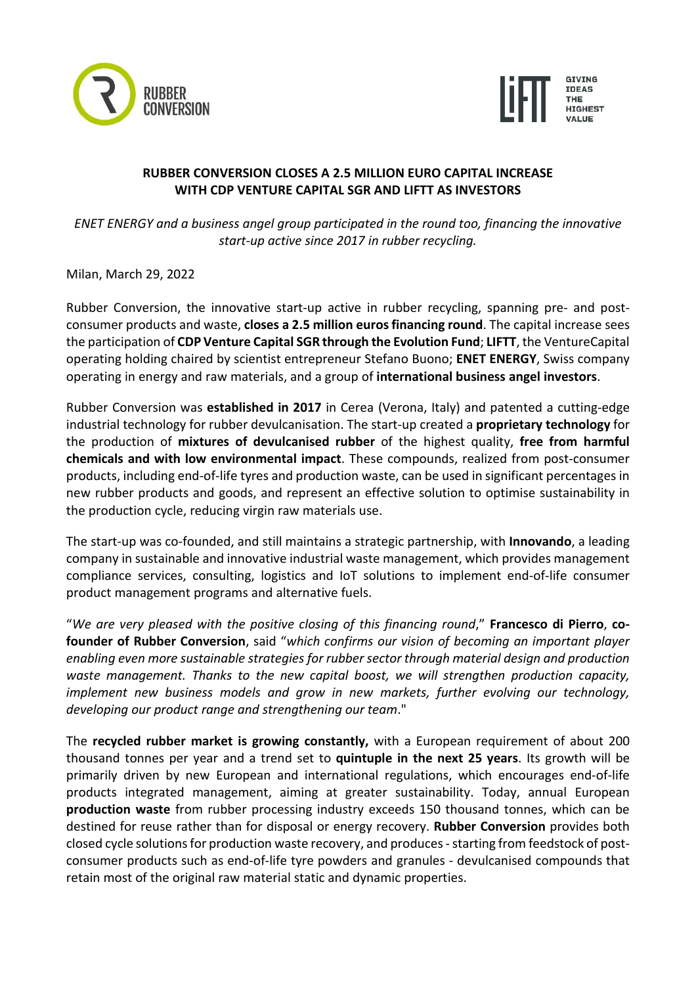



## **RUBBER CONVERSION CLOSES A 2.5 MILLION EURO CAPITAL INCREASE WITH CDP VENTURE CAPITAL SGR AND LIFTT AS INVESTORS**

*ENET ENERGY and a business angel group participated in the round too, financing the innovative start-up active since 2017 in rubber recycling.*

Milan, March 29, 2022

Rubber Conversion, the innovative start-up active in rubber recycling, spanning pre- and postconsumer products and waste, **closes a 2.5 million eurosfinancing round**. The capital increase sees the participation of **CDP Venture Capital SGR through the Evolution Fund**; **LIFTT**, the VentureCapital operating holding chaired by scientist entrepreneur Stefano Buono; **ENET ENERGY**, Swiss company operating in energy and raw materials, and a group of **international business angel investors**.

Rubber Conversion was **established in 2017** in Cerea (Verona, Italy) and patented a cutting-edge industrial technology for rubber devulcanisation. The start-up created a **proprietary technology** for the production of **mixtures of devulcanised rubber** of the highest quality, **free from harmful chemicals and with low environmental impact**. These compounds, realized from post-consumer products, including end-of-life tyres and production waste, can be used in significant percentages in new rubber products and goods, and represent an effective solution to optimise sustainability in the production cycle, reducing virgin raw materials use.

The start-up was co-founded, and still maintains a strategic partnership, with **Innovando**, a leading company in sustainable and innovative industrial waste management, which provides management compliance services, consulting, logistics and IoT solutions to implement end-of-life consumer product management programs and alternative fuels.

"*We are very pleased with the positive closing of this financing round*," **Francesco di Pierro**, **cofounder of Rubber Conversion**, said "*which confirms our vision of becoming an important player enabling even more sustainable strategies for rubber sector through material design and production waste management. Thanks to the new capital boost, we will strengthen production capacity, implement new business models and grow in new markets, further evolving our technology, developing our product range and strengthening our team*."

The **recycled rubber market is growing constantly,** with a European requirement of about 200 thousand tonnes per year and a trend set to **quintuple in the next 25 years**. Its growth will be primarily driven by new European and international regulations, which encourages end-of-life products integrated management, aiming at greater sustainability. Today, annual European **production waste** from rubber processing industry exceeds 150 thousand tonnes, which can be destined for reuse rather than for disposal or energy recovery. **Rubber Conversion** provides both closed cycle solutionsfor production waste recovery, and produces-starting from feedstock of postconsumer products such as end-of-life tyre powders and granules - devulcanised compounds that retain most of the original raw material static and dynamic properties.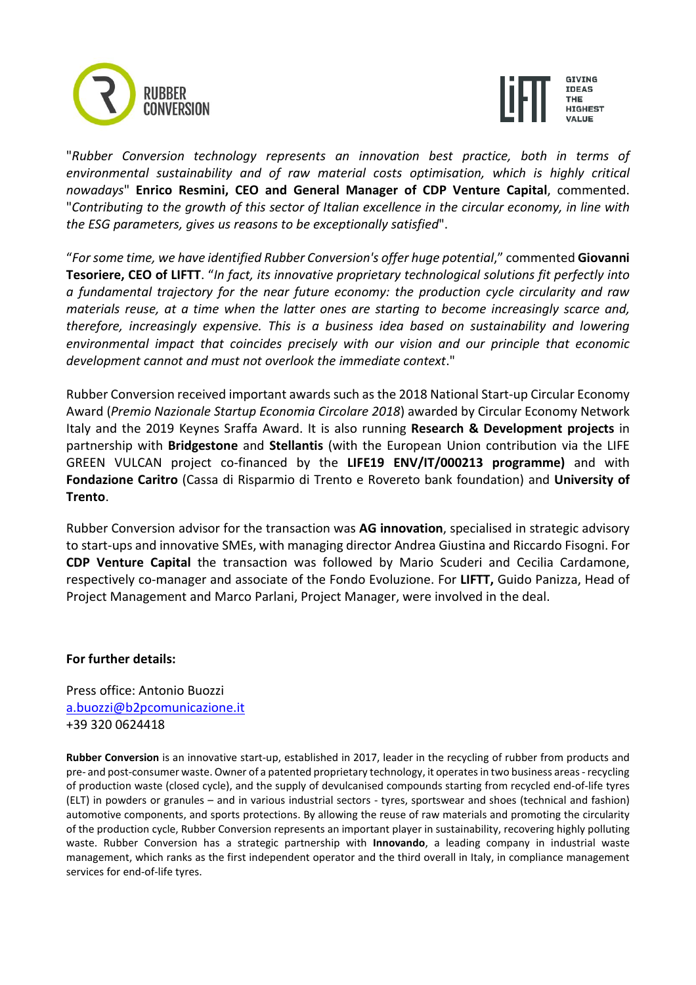



"*Rubber Conversion technology represents an innovation best practice, both in terms of environmental sustainability and of raw material costs optimisation, which is highly critical nowadays*" **Enrico Resmini, CEO and General Manager of CDP Venture Capital**, commented. "*Contributing to the growth of this sector of Italian excellence in the circular economy, in line with the ESG parameters, gives us reasons to be exceptionally satisfied*".

"*Forsome time, we have identified Rubber Conversion's offer huge potential*," commented **Giovanni Tesoriere, CEO of LIFTT**. "*In fact, its innovative proprietary technological solutions fit perfectly into a fundamental trajectory for the near future economy: the production cycle circularity and raw materials reuse, at a time when the latter ones are starting to become increasingly scarce and, therefore, increasingly expensive. This is a business idea based on sustainability and lowering environmental impact that coincides precisely with our vision and our principle that economic development cannot and must not overlook the immediate context*."

Rubber Conversion received important awards such as the 2018 National Start-up Circular Economy Award (*Premio Nazionale Startup Economia Circolare 2018*) awarded by Circular Economy Network Italy and the 2019 Keynes Sraffa Award. It is also running **Research & Development projects** in partnership with **Bridgestone** and **Stellantis** (with the European Union contribution via the LIFE GREEN VULCAN project co-financed by the **LIFE19 ENV/IT/000213 programme)** and with **Fondazione Caritro** (Cassa di Risparmio di Trento e Rovereto bank foundation) and **University of Trento**.

Rubber Conversion advisor for the transaction was **AG innovation**, specialised in strategic advisory to start-ups and innovative SMEs, with managing director Andrea Giustina and Riccardo Fisogni. For **CDP Venture Capital** the transaction was followed by Mario Scuderi and Cecilia Cardamone, respectively co-manager and associate of the Fondo Evoluzione. For **LIFTT,** Guido Panizza, Head of Project Management and Marco Parlani, Project Manager, were involved in the deal.

## **For further details:**

Press office: Antonio Buozzi [a.buozzi@b2pcomunicazione.it](mailto:a.buozzi@b2pcomunicazione.it) +39 320 0624418

**Rubber Conversion** is an innovative start-up, established in 2017, leader in the recycling of rubber from products and pre- and post-consumer waste. Owner of a patented proprietary technology, it operatesin two business areas-recycling of production waste (closed cycle), and the supply of devulcanised compounds starting from recycled end-of-life tyres (ELT) in powders or granules – and in various industrial sectors - tyres, sportswear and shoes (technical and fashion) automotive components, and sports protections. By allowing the reuse of raw materials and promoting the circularity of the production cycle, Rubber Conversion represents an important player in sustainability, recovering highly polluting waste. Rubber Conversion has a strategic partnership with **Innovando**, a leading company in industrial waste management, which ranks as the first independent operator and the third overall in Italy, in compliance management services for end-of-life tyres.